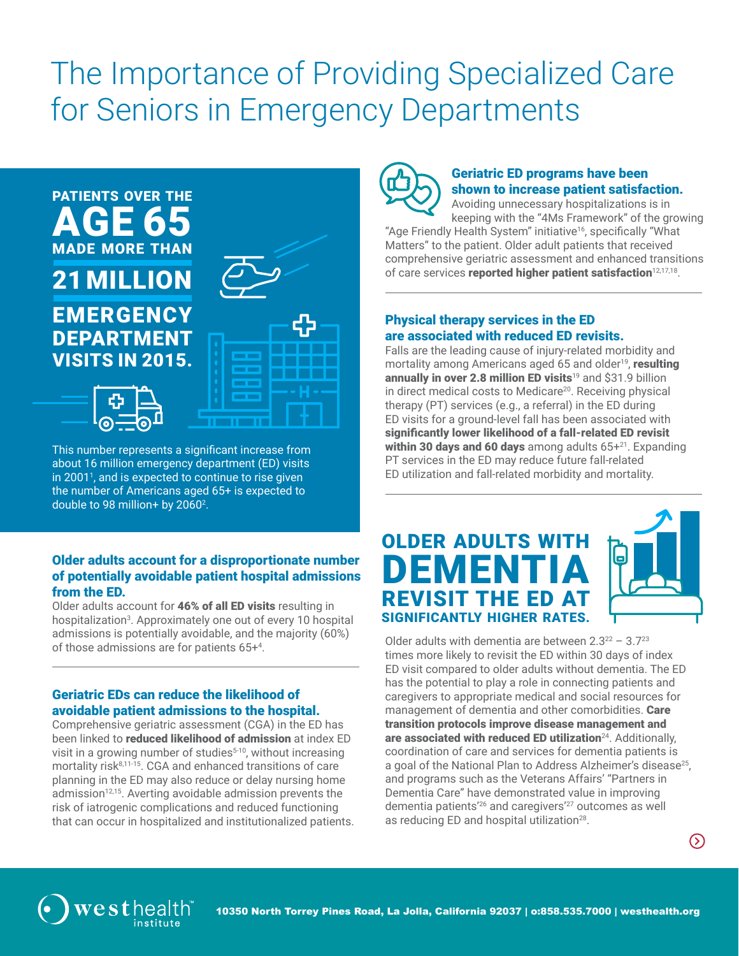# The Importance of Providing Specialized Care for Seniors in Emergency Departments



This number represents a significant increase from about 16 million emergency department (ED) visits in 20011 , and is expected to continue to rise given the number of Americans aged 65+ is expected to double to 98 million+ by 2060<sup>2</sup>.

#### Older adults account for a disproportionate number of potentially avoidable patient hospital admissions from the ED.

Older adults account for 46% of all ED visits resulting in hospitalization<sup>3</sup>. Approximately one out of every 10 hospital admissions is potentially avoidable, and the majority (60%) of those admissions are for patients 65+4 .

## Geriatric EDs can reduce the likelihood of avoidable patient admissions to the hospital.

Comprehensive geriatric assessment (CGA) in the ED has been linked to **reduced likelihood of admission** at index ED visit in a growing number of studies $5-10$ , without increasing mortality risk<sup>8,11-15</sup>. CGA and enhanced transitions of care planning in the ED may also reduce or delay nursing home admission $12,15$ . Averting avoidable admission prevents the risk of iatrogenic complications and reduced functioning that can occur in hospitalized and institutionalized patients.



# Geriatric ED programs have been shown to increase patient satisfaction.

Avoiding unnecessary hospitalizations is in keeping with the "4Ms Framework" of the growing "Age Friendly Health System" initiative<sup>16</sup>, specifically "What Matters" to the patient. Older adult patients that received comprehensive geriatric assessment and enhanced transitions of care services reported higher patient satisfaction<sup>12,17,18</sup>.

### Physical therapy services in the ED are associated with reduced ED revisits.

Falls are the leading cause of injury-related morbidity and mortality among Americans aged 65 and older<sup>19</sup>, resulting annually in over 2.8 million ED visits<sup>19</sup> and \$31.9 billion in direct medical costs to Medicare<sup>20</sup>. Receiving physical therapy (PT) services (e.g., a referral) in the ED during ED visits for a ground-level fall has been associated with significantly lower likelihood of a fall-related ED revisit within 30 days and 60 days among adults  $65+^{21}$ . Expanding PT services in the ED may reduce future fall-related ED utilization and fall-related morbidity and mortality.

# OLDER ADULTS WITH ME REVISIT THE ED AT SIGNIFICANTLY HIGHER RATES.



Older adults with dementia are between  $2.3^{22}$  –  $3.7^{23}$ times more likely to revisit the ED within 30 days of index ED visit compared to older adults without dementia. The ED has the potential to play a role in connecting patients and caregivers to appropriate medical and social resources for management of dementia and other comorbidities. Care transition protocols improve disease management and are associated with reduced ED utilization<sup>24</sup>. Additionally, coordination of care and services for dementia patients is a goal of the National Plan to Address Alzheimer's disease<sup>25</sup>. and programs such as the Veterans Affairs' "Partners in Dementia Care" have demonstrated value in improving dementia patients'26 and caregivers'27 outcomes as well as reducing ED and hospital utilization<sup>28</sup>.



 $\odot$